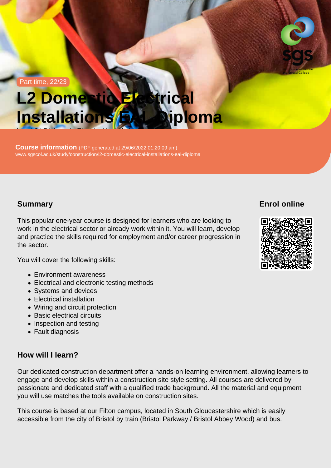Part time, 22/23

# L2 Domestic Electrical Installations EAL Diploma

Course information (PDF generated at 29/06/2022 01:20:09 am) [www.sgscol.ac.uk/study/construction/l2-domestic-electrical-installations-eal-diploma](https://www.sgscol.ac.uk/study/construction/l2-domestic-electrical-installations-eal-diploma)

Level 2 | Diploma in Electrical Installation

# **Summary**

This popular one-year course is designed for learners who are looking to work in the electrical sector or already work within it. You will learn, develop and practice the skills required for employment and/or career progression in the sector.

You will cover the following skills:

- Environment awareness
- Electrical and electronic testing methods
- Systems and devices
- Electrical installation
- Wiring and circuit protection
- Basic electrical circuits
- Inspection and testing
- Fault diagnosis

# How will I learn?

Our dedicated construction department offer a hands-on learning environment, allowing learners to engage and develop skills within a construction site style setting. All courses are delivered by passionate and dedicated staff with a qualified trade background. All the material and equipment you will use matches the tools available on construction sites.

This course is based at our Filton campus, located in South Gloucestershire which is easily accessible from the city of Bristol by train (Bristol Parkway / Bristol Abbey Wood) and bus.

Enrol online